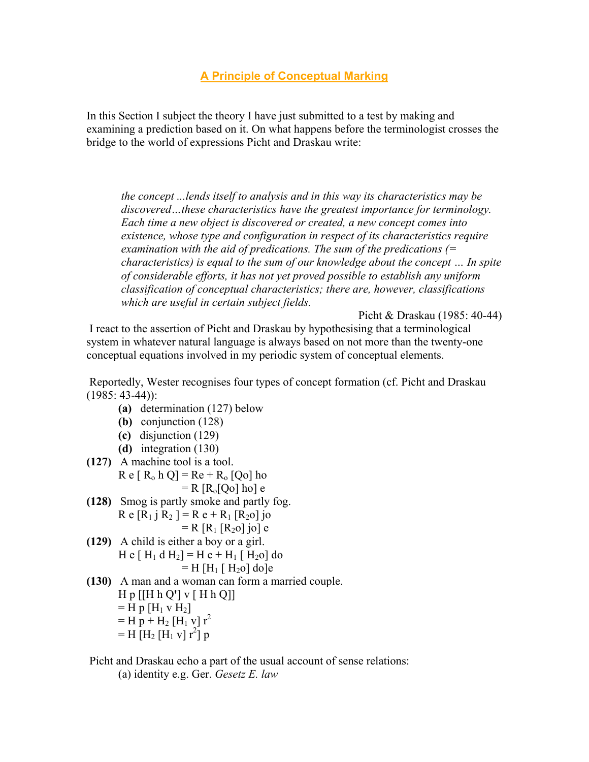# **A Principle of Conceptual Marking**

In this Section I subject the theory I have just submitted to a test by making and examining a prediction based on it. On what happens before the terminologist crosses the bridge to the world of expressions Picht and Draskau write:

*the concept ...lends itself to analysis and in this way its characteristics may be discovered…these characteristics have the greatest importance for terminology. Each time a new object is discovered or created, a new concept comes into existence, whose type and configuration in respect of its characteristics require examination with the aid of predications. The sum of the predications (= characteristics) is equal to the sum of our knowledge about the concept … In spite of considerable efforts, it has not yet proved possible to establish any uniform classification of conceptual characteristics; there are, however, classifications which are useful in certain subject fields.*

Picht & Draskau (1985: 40-44)

 I react to the assertion of Picht and Draskau by hypothesising that a terminological system in whatever natural language is always based on not more than the twenty-one conceptual equations involved in my periodic system of conceptual elements.

 Reportedly, Wester recognises four types of concept formation (cf. Picht and Draskau  $(1985: 43-44)$ :

- **(a)** determination (127) below
- **(b)** conjunction (128)
- **(c)** disjunction (129)
- **(d)** integration (130)
- **(127)** A machine tool is a tool.  $R e [ R_0 h Q ] = Re + R_0 [Qo]$  ho  $=$  R  $[R_0[Q_0]$  ho] e
- **(128)** Smog is partly smoke and partly fog.  $R e [R_1 i R_2] = R e + R_1 [R_2 o]$  jo
	- $= R [R_1 [R_2 0] j0] e$
- **(129)** A child is either a boy or a girl. H e  $[H_1 d H_2] = H e + H_1 [H_2 o]$  do  $=$  H [H<sub>1</sub> [ H<sub>2</sub>o] do]e
- **(130)** A man and a woman can form a married couple. H p [[H h Q**'**] v [ H h Q]]  $=$  H p  $[H_1 v H_2]$  $=$  H  $p + H_2$  [H<sub>1</sub> v]  $r^2$  $=$  H  $[H_2 H_1 v] r^2$  p

Picht and Draskau echo a part of the usual account of sense relations:

(a) identity e.g. Ger. *Gesetz E. law*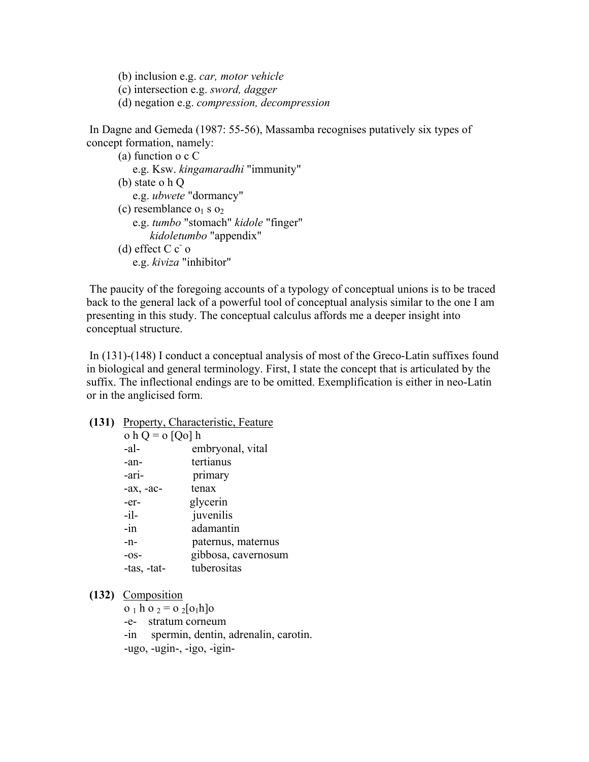- (b) inclusion e.g. *car, motor vehicle*
- (c) intersection e.g. *sword, dagger*
- (d) negation e.g. *compression, decompression*

 In Dagne and Gemeda (1987: 55-56), Massamba recognises putatively six types of concept formation, namely:

```
 (a) function o c C 
          e.g. Ksw. kingamaradhi "immunity" 
       (b) state o h Q 
          e.g. ubwete "dormancy" 
      (c) resemblance o_1 s o_2 e.g. tumbo "stomach" kidole "finger" 
              kidoletumbo "appendix" 
(d) effect C c^- o e.g. kiviza "inhibitor"
```
 The paucity of the foregoing accounts of a typology of conceptual unions is to be traced back to the general lack of a powerful tool of conceptual analysis similar to the one I am presenting in this study. The conceptual calculus affords me a deeper insight into conceptual structure.

 In (131)-(148) I conduct a conceptual analysis of most of the Greco-Latin suffixes found in biological and general terminology. First, I state the concept that is articulated by the suffix. The inflectional endings are to be omitted. Exemplification is either in neo-Latin or in the anglicised form.

**(131)** Property, Characteristic, Feature

| o h Q = o [Qo] h |                     |
|------------------|---------------------|
| -al-             | embryonal, vital    |
| -an-             | tertianus           |
| -ari-            | primary             |
| $-ax$ , $-ac$    | tenax               |
| -er-             | glycerin            |
| $-i1-$           | juvenilis           |
| $-in$            | adamantin           |
| -n-              | paternus, maternus  |
| $-OS-$           | gibbosa, cavernosum |
| -tas, -tat-      | tuberositas         |
|                  |                     |

**(132)** Composition

 $o_1$  h  $o_2 = o_2[o_1h]o_2$ 

- -e- stratum corneum
- -in spermin, dentin, adrenalin, carotin.

-ugo, -ugin-, -igo, -igin-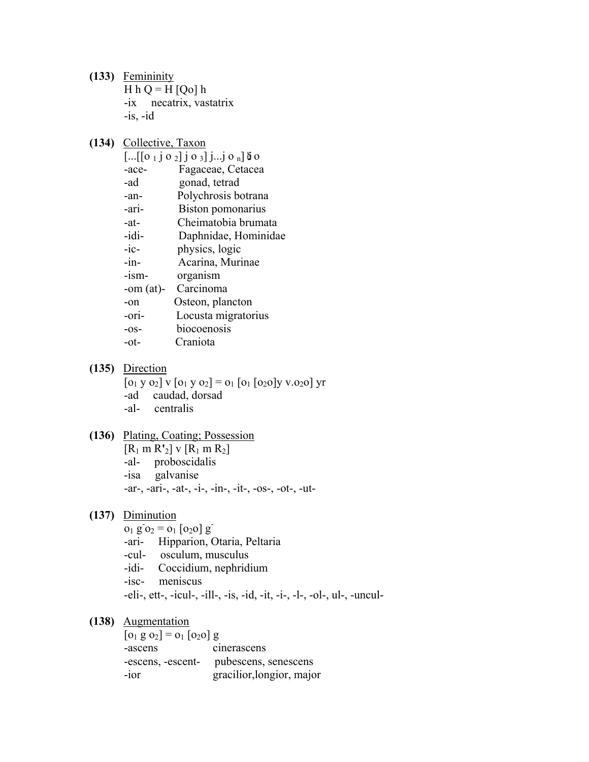**(133)** Femininity H  $hQ = H[Qo]$  h -ix necatrix, vastatrix  $-$ is,  $-i$ d

## **(134)** Collective, Taxon

| $\left[\ldots\left[\left[0\ 1\ 1\ 0\ 2\right]\right]\right]$ 0 3] j j 0 <sub>n</sub> ] 5 0 |
|--------------------------------------------------------------------------------------------|
| Fagaceae, Cetacea                                                                          |
| gonad, tetrad                                                                              |
| Polychrosis botrana                                                                        |
| Biston pomonarius                                                                          |
| Cheimatobia brumata                                                                        |
| Daphnidae, Hominidae                                                                       |
| physics, logic                                                                             |
| Acarina, Murinae                                                                           |
| organism                                                                                   |
| Carcinoma<br>-om $(at)$ -                                                                  |
| Osteon, plancton                                                                           |
| Locusta migratorius                                                                        |
| biocoenosis                                                                                |
| Craniota                                                                                   |
|                                                                                            |

### **(135)** Direction

- $[0_1 \text{ y } 0_2] \text{ v } [0_1 \text{ y } 0_2] = 0_1 [0_1 [0_2 0] \text{ y } 0_2 0] \text{ yr}$
- -ad caudad, dorsad
- -al- centralis

### **(136)** Plating, Coating; Possession

- $[R_1$  m  $R'_2]$  v  $[R_1$  m  $R_2]$
- -al- proboscidalis
- -isa galvanise
- -ar-, -ari-, -at-, -i-, -in-, -it-, -os-, -ot-, -ut-
- **(137)** Diminution
- $\overline{0_1 \text{ g} \cdot 0_2} = \overline{0_1} [\overline{0_2 0}] \text{ g}^2$ 
	- -ari- Hipparion, Otaria, Peltaria
	- -cul- osculum, musculus
	- -idi- Coccidium, nephridium
	- -isc- meniscus

-eli-, ett-, -icul-, -ill-, -is, -id, -it, -i-, -l-, -ol-, ul-, -uncul-

### **(138)** Augmentation

 $[0_1 \text{ g } 0_2] = 0_1 [0_2 0]$  g -ascens cinerascens -escens, -escent- pubescens, senescens -ior gracilior,longior, major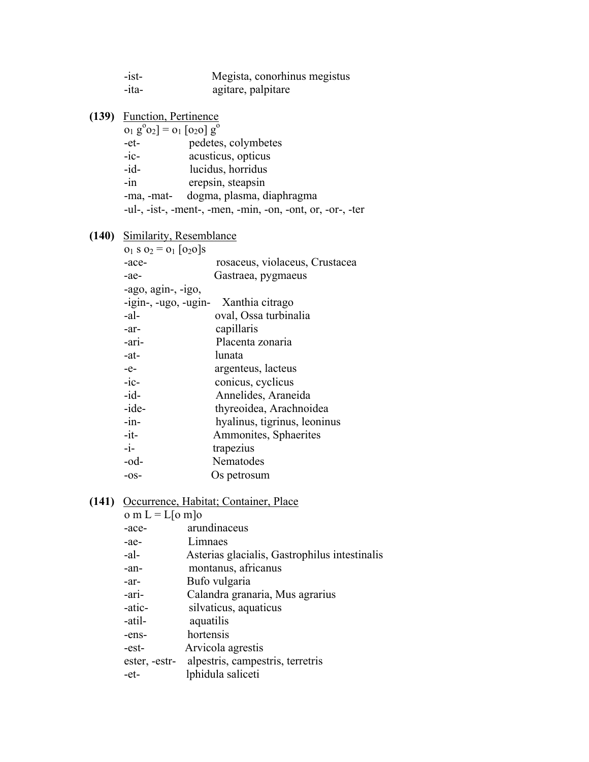| $-ist$                               | Megista, conorhinus megistus                               |  |
|--------------------------------------|------------------------------------------------------------|--|
| -ita-                                | agitare, palpitare                                         |  |
|                                      |                                                            |  |
| (139) Function, Pertinence           |                                                            |  |
| $o_1 g^0 o_2$ ] = $o_1$ [020] $g^0$  |                                                            |  |
| $-et-$                               | pedetes, colymbetes                                        |  |
| $-ic$                                | acusticus, opticus                                         |  |
| $-id-$                               | lucidus, horridus                                          |  |
| $-in$                                | erepsin, steapsin                                          |  |
|                                      | -ma, -mat- dogma, plasma, diaphragma                       |  |
|                                      | -ul-, -ist-, -ment-, -men, -min, -on, -ont, or, -or-, -ter |  |
|                                      |                                                            |  |
| (140) Similarity, Resemblance        |                                                            |  |
| $o_1$ s $o_2$ = $o_1$ [020]s         |                                                            |  |
| -ace-                                | rosaceus, violaceus, Crustacea                             |  |
| -ae-                                 | Gastraea, pygmaeus                                         |  |
| -ago, $agin-, -igo,$                 |                                                            |  |
| -igin-, -ugo, -ugin- Xanthia citrago |                                                            |  |
| $-al-$                               | oval, Ossa turbinalia                                      |  |
| -ar-                                 | capillaris                                                 |  |
| -ari-                                | Placenta zonaria                                           |  |
| $-at$                                | lunata                                                     |  |
| $-e-$                                | argenteus, lacteus                                         |  |
| $-ic$                                | conicus, cyclicus                                          |  |
| $-id-$                               | Annelides, Araneida                                        |  |
| -ide-                                | thyreoidea, Arachnoidea                                    |  |
| $-in-$                               | hyalinus, tigrinus, leoninus                               |  |
| $-it-$                               | Ammonites, Sphaerites                                      |  |
| $-i-$                                | trapezius                                                  |  |
| $-od-$                               | Nematodes                                                  |  |
| $-OS-$                               | Os petrosum                                                |  |
|                                      |                                                            |  |

### **(141)** Occurrence, Habitat; Container, Place

| o m L = L[o m]o |                                                |
|-----------------|------------------------------------------------|
| -ace-           | arundinaceus                                   |
| -ae-            | Limnaes                                        |
| $-al-$          | Asterias glacialis, Gastrophilus intestinalis  |
| -an-            | montanus, africanus                            |
| -ar-            | Bufo vulgaria                                  |
| -ari-           | Calandra granaria, Mus agrarius                |
| -atic-          | silvaticus, aquaticus                          |
| -atil-          | aquatilis                                      |
| -ens-           | hortensis                                      |
| -est-           | Arvicola agrestis                              |
|                 | ester, -estr- alpestris, campestris, terretris |
| -et-            | lphidula saliceti                              |
|                 |                                                |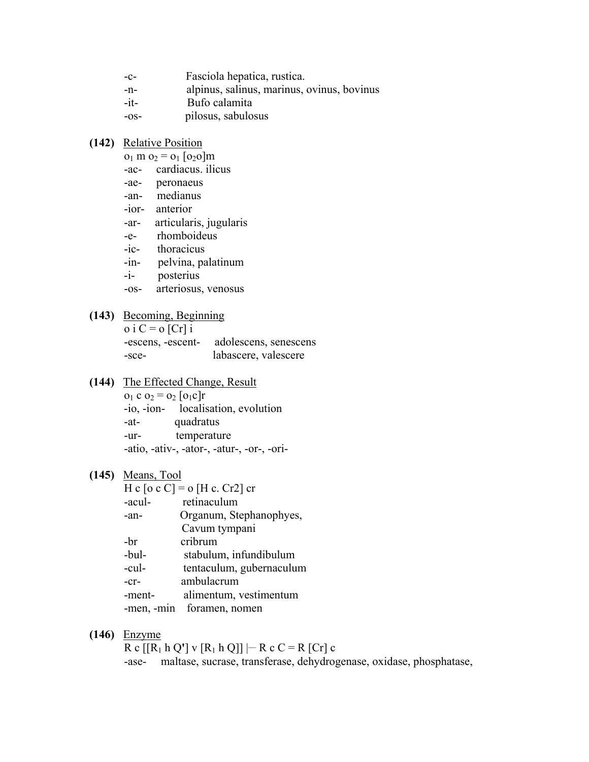| Fasciola hepatica, rustica. |  |
|-----------------------------|--|
|                             |  |

- -n- alpinus, salinus, marinus, ovinus, bovinus
- -it- Bufo calamita
- -os- pilosus, sabulosus

### **(142)** Relative Position

- $o_1$  m  $o_2$  =  $o_1$  [o<sub>2</sub>o]m
- -ac- cardiacus. ilicus
- -ae- peronaeus
- -an- medianus
- -ior- anterior
- -ar- articularis, jugularis
- -e- rhomboideus
- -ic- thoracicus
- -in- pelvina, palatinum
- -i- posterius
- -os- arteriosus, venosus

## **(143)** Becoming, Beginning

| $o$ i C = $o$ [Cr] i |                                         |
|----------------------|-----------------------------------------|
|                      | -escens, -escent- adolescens, senescens |
| -sce-                | labascere, valescere                    |

**(144)** The Effected Change, Result  $o_1$  c  $o_2$  =  $o_2$  [ $o_1$ c]r -io, -ion- localisation, evolution -at- quadratus -ur- temperature -atio, -ativ-, -ator-, -atur-, -or-, -ori-

#### **(145)** Means, Tool

| H c [o c C] = o [H c. Cr2] cr |                          |
|-------------------------------|--------------------------|
| -acul-                        | retinaculum              |
| -an-                          | Organum, Stephanophyes,  |
|                               | Cavum tympani            |
| -br                           | cribrum                  |
| -bul-                         | stabulum, infundibulum   |
| -cul-                         | tentaculum, gubernaculum |
| $-cr-$                        | ambulacrum               |
| -ment-                        | alimentum, vestimentum   |
| -men, -min                    | foramen, nomen           |
|                               |                          |

#### **(146)** Enzyme

 $R c [[R_1 h Q'] v [R_1 h Q]]$   $-R c C = R [Cr] c$ 

-ase- maltase, sucrase, transferase, dehydrogenase, oxidase, phosphatase,